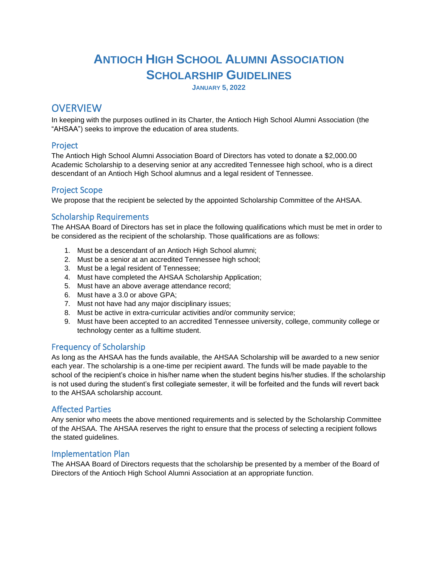# **ANTIOCH HIGH SCHOOL ALUMNI ASSOCIATION SCHOLARSHIP GUIDELINES**

**JANUARY 5, 2022**

# **OVERVIEW**

In keeping with the purposes outlined in its Charter, the Antioch High School Alumni Association (the "AHSAA") seeks to improve the education of area students.

#### Project

The Antioch High School Alumni Association Board of Directors has voted to donate a \$2,000.00 Academic Scholarship to a deserving senior at any accredited Tennessee high school, who is a direct descendant of an Antioch High School alumnus and a legal resident of Tennessee.

#### Project Scope

We propose that the recipient be selected by the appointed Scholarship Committee of the AHSAA.

## Scholarship Requirements

The AHSAA Board of Directors has set in place the following qualifications which must be met in order to be considered as the recipient of the scholarship. Those qualifications are as follows:

- 1. Must be a descendant of an Antioch High School alumni;
- 2. Must be a senior at an accredited Tennessee high school;
- 3. Must be a legal resident of Tennessee;
- 4. Must have completed the AHSAA Scholarship Application;
- 5. Must have an above average attendance record;
- 6. Must have a 3.0 or above GPA;
- 7. Must not have had any major disciplinary issues;
- 8. Must be active in extra-curricular activities and/or community service;
- 9. Must have been accepted to an accredited Tennessee university, college, community college or technology center as a fulltime student.

## Frequency of Scholarship

As long as the AHSAA has the funds available, the AHSAA Scholarship will be awarded to a new senior each year. The scholarship is a one-time per recipient award. The funds will be made payable to the school of the recipient's choice in his/her name when the student begins his/her studies. If the scholarship is not used during the student's first collegiate semester, it will be forfeited and the funds will revert back to the AHSAA scholarship account.

#### Affected Parties

Any senior who meets the above mentioned requirements and is selected by the Scholarship Committee of the AHSAA. The AHSAA reserves the right to ensure that the process of selecting a recipient follows the stated guidelines.

#### Implementation Plan

The AHSAA Board of Directors requests that the scholarship be presented by a member of the Board of Directors of the Antioch High School Alumni Association at an appropriate function.